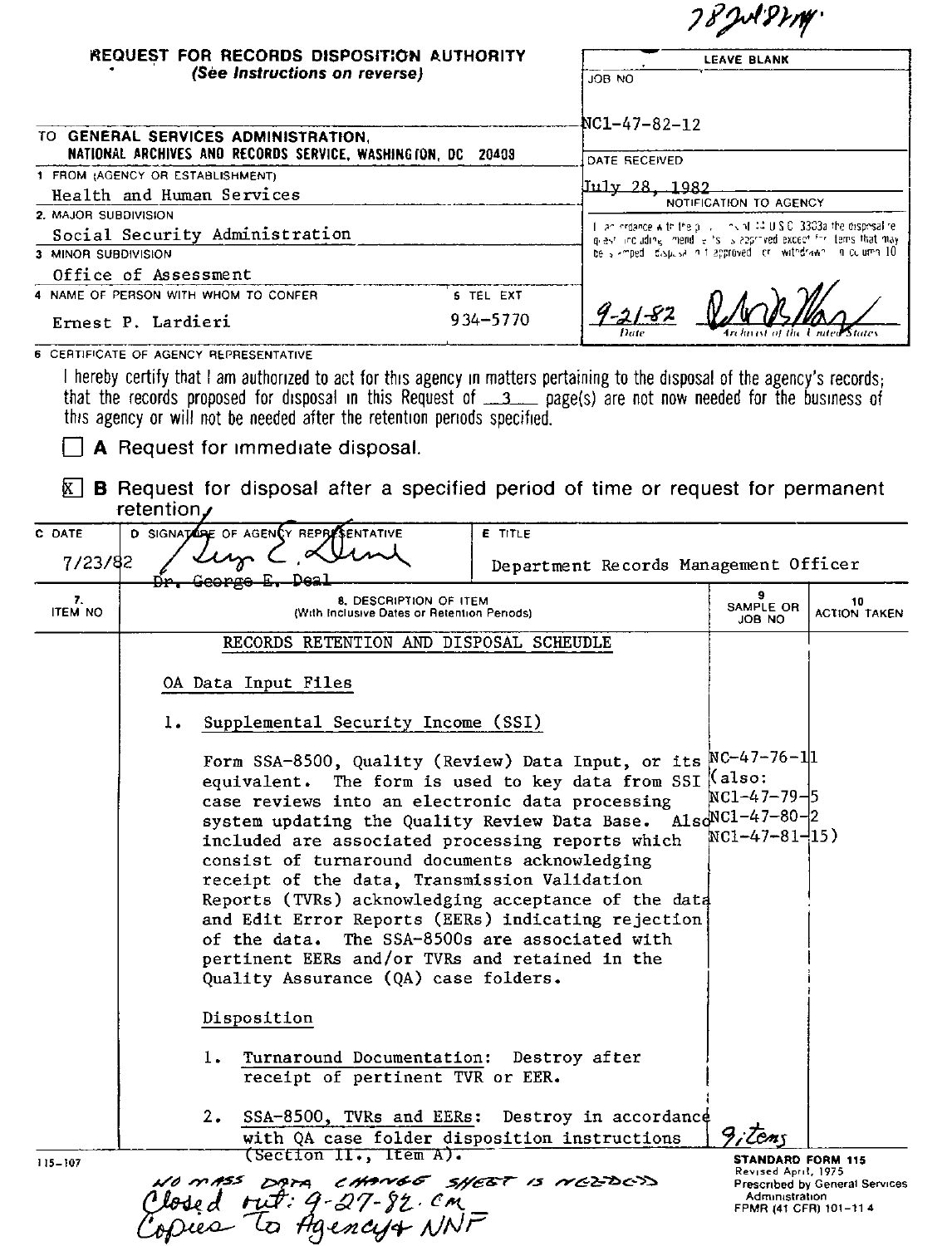78JM9VM

|                      | REQUEST FOR RECORDS DISPOSITION AUTHORITY<br>(See Instructions on reverse)                                                                                                                                                                                                                                                                                                                                                                                                                                                                                                                                                                        |                                                                     | LEAVE BLANK                                                                                                                         |                                       |
|----------------------|---------------------------------------------------------------------------------------------------------------------------------------------------------------------------------------------------------------------------------------------------------------------------------------------------------------------------------------------------------------------------------------------------------------------------------------------------------------------------------------------------------------------------------------------------------------------------------------------------------------------------------------------------|---------------------------------------------------------------------|-------------------------------------------------------------------------------------------------------------------------------------|---------------------------------------|
|                      |                                                                                                                                                                                                                                                                                                                                                                                                                                                                                                                                                                                                                                                   | OW 80L                                                              |                                                                                                                                     |                                       |
|                      |                                                                                                                                                                                                                                                                                                                                                                                                                                                                                                                                                                                                                                                   | NC1-47-82-12                                                        |                                                                                                                                     |                                       |
|                      | TO GENERAL SERVICES ADMINISTRATION,<br>NATIONAL ARCHIVES AND RECORDS SERVICE, WASHINGTON, DC 20409                                                                                                                                                                                                                                                                                                                                                                                                                                                                                                                                                | DATE RECEIVED                                                       |                                                                                                                                     |                                       |
|                      | 1 FROM (AGENCY OR ESTABLISHMENT)                                                                                                                                                                                                                                                                                                                                                                                                                                                                                                                                                                                                                  | <u>July 28, 1982</u>                                                |                                                                                                                                     |                                       |
|                      | Health and Human Services                                                                                                                                                                                                                                                                                                                                                                                                                                                                                                                                                                                                                         |                                                                     | NOTIFICATION TO AGENCY                                                                                                              |                                       |
| 2. MAJOR SUBDIVISION |                                                                                                                                                                                                                                                                                                                                                                                                                                                                                                                                                                                                                                                   |                                                                     | Than instance with the privation of 14 U.S.C. 3303a the disposalize                                                                 |                                       |
| 3 MINOR SUBDIVISION  | Social Security Administration                                                                                                                                                                                                                                                                                                                                                                                                                                                                                                                                                                                                                    |                                                                     | grest including imend is ts. is approved except for items that may<br>be simped idispose in trapproved ion withdrawn in outlime 10. |                                       |
|                      | Office of Assessment                                                                                                                                                                                                                                                                                                                                                                                                                                                                                                                                                                                                                              |                                                                     |                                                                                                                                     |                                       |
|                      | 4 NAME OF PERSON WITH WHOM TO CONFER                                                                                                                                                                                                                                                                                                                                                                                                                                                                                                                                                                                                              | 5 TEL EXT                                                           |                                                                                                                                     |                                       |
|                      | Ernest P. Lardieri                                                                                                                                                                                                                                                                                                                                                                                                                                                                                                                                                                                                                                | $934 - 5770$<br>Date                                                |                                                                                                                                     | State                                 |
|                      | 6 CERTIFICATE OF AGENCY REPRESENTATIVE<br>I hereby certify that I am authorized to act for this agency in matters pertaining to the disposal of the agency's records;<br>that the records proposed for disposal in this Request of __3__ page(s) are not now needed for the business of<br>this agency or will not be needed after the retention periods specified.<br>A Request for immediate disposal.                                                                                                                                                                                                                                          |                                                                     |                                                                                                                                     |                                       |
| ×Ι                   | <b>B</b> Request for disposal after a specified period of time or request for permanent<br>retention,                                                                                                                                                                                                                                                                                                                                                                                                                                                                                                                                             |                                                                     |                                                                                                                                     |                                       |
| C DATE               | D SIGNATURE OF AGENCY REPRESENTATIVE                                                                                                                                                                                                                                                                                                                                                                                                                                                                                                                                                                                                              | <b>E</b> TITLE                                                      |                                                                                                                                     |                                       |
| 7/23/82              | <del>Georre L.</del><br>⊷⊬                                                                                                                                                                                                                                                                                                                                                                                                                                                                                                                                                                                                                        | Department Records Management Officer                               |                                                                                                                                     |                                       |
| 7.<br><b>ITEM NO</b> | 8. DESCRIPTION OF ITEM<br>(With Inclusive Dates or Retention Periods)                                                                                                                                                                                                                                                                                                                                                                                                                                                                                                                                                                             |                                                                     | 9<br>SAMPLE OR<br>JOB NO                                                                                                            | 10<br><b>ACTION TAKEN</b>             |
|                      | RECORDS RETENTION AND DISPOSAL SCHEUDLE                                                                                                                                                                                                                                                                                                                                                                                                                                                                                                                                                                                                           |                                                                     |                                                                                                                                     |                                       |
|                      | OA Data Input Files                                                                                                                                                                                                                                                                                                                                                                                                                                                                                                                                                                                                                               |                                                                     |                                                                                                                                     |                                       |
|                      | Supplemental Security Income (SSI)<br>ı.                                                                                                                                                                                                                                                                                                                                                                                                                                                                                                                                                                                                          |                                                                     |                                                                                                                                     |                                       |
|                      | Form SSA-8500, Quality (Review) Data Input, or its $NC-47-76-11$<br>equivalent. The form is used to key data from SSI (also:<br>case reviews into an electronic data processing<br>system updating the Quality Review Data Base.<br>included are associated processing reports which<br>consist of turnaround documents acknowledging<br>receipt of the data, Transmission Validation<br>Reports (TVRs) acknowledging acceptance of the data<br>and Edit Error Reports (EERs) indicating rejection<br>The SSA-8500s are associated with<br>of the data.<br>pertinent EERs and/or TVRs and retained in the<br>Quality Assurance (QA) case folders. | NC1-47-79-5<br>Also <sup>NC1-47-80-2</sup><br>$NC1 - 47 - 81 - 15)$ |                                                                                                                                     |                                       |
|                      | Disposition                                                                                                                                                                                                                                                                                                                                                                                                                                                                                                                                                                                                                                       |                                                                     |                                                                                                                                     |                                       |
|                      | Turnaround Documentation: Destroy after<br>1.<br>receipt of pertinent TVR or EER.                                                                                                                                                                                                                                                                                                                                                                                                                                                                                                                                                                 |                                                                     |                                                                                                                                     |                                       |
| $115 - 107$          | 2. SSA-8500, TVRs and EERs: Destroy in accordance<br>with QA case folder disposition instructions<br>(Section II,, Item A).                                                                                                                                                                                                                                                                                                                                                                                                                                                                                                                       |                                                                     | $9.7$ cm<br>STANDARD FORM 115                                                                                                       |                                       |
|                      | NO MASS DATA CHANGE SHEET IS NEZDED<br>Closed rut: 9-27-82 cm                                                                                                                                                                                                                                                                                                                                                                                                                                                                                                                                                                                     |                                                                     | Revised April, 1975<br>Administration<br>FPMR (41 CFR) 101-11 4                                                                     | <b>Prescribed by General Services</b> |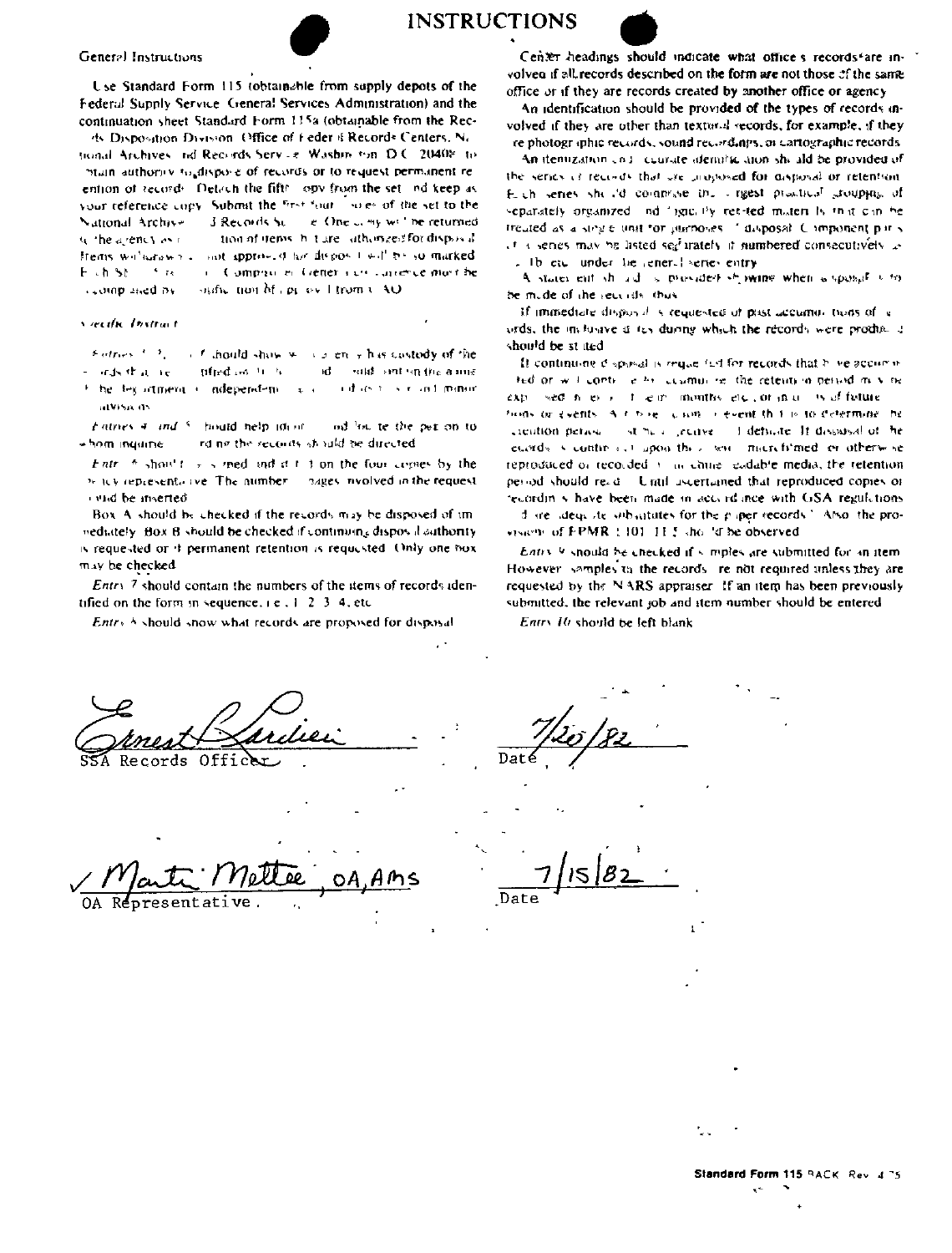

Use Standard Form 115 (obtainable from supply depots of the Federal Supply Service General Services Administration) and the continuation sheet Standard Form 115a (obtainable from the Rec-

ds. Disposition Division. Office of Feder & Records Centers, Ne. tional Archives, rid Records Service, Washin ton D.C. 20408, to ptuin authority to dispose of records or to request permanent reention of records. Detach the fifts, opy from the set, nd keep as your reference copy. Submit the first four soles of the set to the J. Records Sun e. One complier the returned National Archive te the arency as a tion of items. h. tiare, athorized for disposalfrems will adown a limit approved for depositivel! by so marked Fundship Arts i. Compasi el Generico cualizace mortifie ousfit, from of core on I from a AO. ccomplained by

## viecībs Instruct

 $6.4$ ranger  $1.3$ of should show we can ere y has costedy of the - advitacie tified as the help ਮਰੇ ਜ਼ਮ≵ਂ ਮਾਸੀ ਪਸ ਉਪਫ਼ਲ ਸ਼ਾਮਣ time begannerig is independent and a substitution of an immunity atvisa ds

nd ha te the per on to Fatries 4, and 5, finald help ident + hom inquirie rd no the records straild be directed

Entry 6 show'd a surved and did 1.1 on the four cornes by the 34 ICV representative. The number that gave rivolved in the request ouid be inserted

Box A should by checked if the records may be disposed of immediately. Hox B should be checked if continuing disposal authority is requested or if permanent retention is requested. Only one box may be checked.

Entry 7 should contain the numbers of the items of records identified on the form in sequence,  $i \in 1, 2, 3, 4$ , etc.

Entry A should show what records are proposed for disposal

**INSTRUCTIONS** 



An identification should be provided of the types of records involved if they are other than textural records, for example, if they re photographic records, sound recordings, or cartographic records

An itemization colli ceurate alemaña aion shi ald be provided of the series of records that are industed for disposal or retention. Each series sheald comprise in a rigest practical grouppig, of separately organized, ad "agic Py ret-ted materi Is that can be treated as a single unit for purposes. 7 disposal Component paris of a series may be listed segurately if numbered consecutively as . Ib etc. under the lener. I series entry

A states ent should a provided showing when a sposal vito be made of the seconds, thus,

If immediate disposite is requested of post-accumul tions of a ords, the inclusive a res during which the records were produced should be st ited

It continuous disposal is requested for records that have accumpfed or will continue by accumulate the retention period in vine  $exp = sec \, h \, \omega + 1$  ein months eic, or muss is of foture fours or events. A r tore, claim is event that is to determine, be ciention period. States periode. I definite If dissussal of the ecords is contreast upon they will macrefilmed or otherwise reproduced or recorded in in came, eadable media, the retention period should read. Until ascertained that reproduced copies or recordin's have been made in accordance with GSA regulations

dome idequire subsistates for the paper records." Also, the provisume of FPMR (101.11.5 shot if he observed)

Entry 9 should be checked if somples are submitted for an item However, samples to the records, re not required unless they are requested by the NARS appraiser. If an item has been previously submitted, the relevant job and item number should be entered

Entry 10 should be left blank

Records Office

Standard Form 115 RACK, Rev. 4 75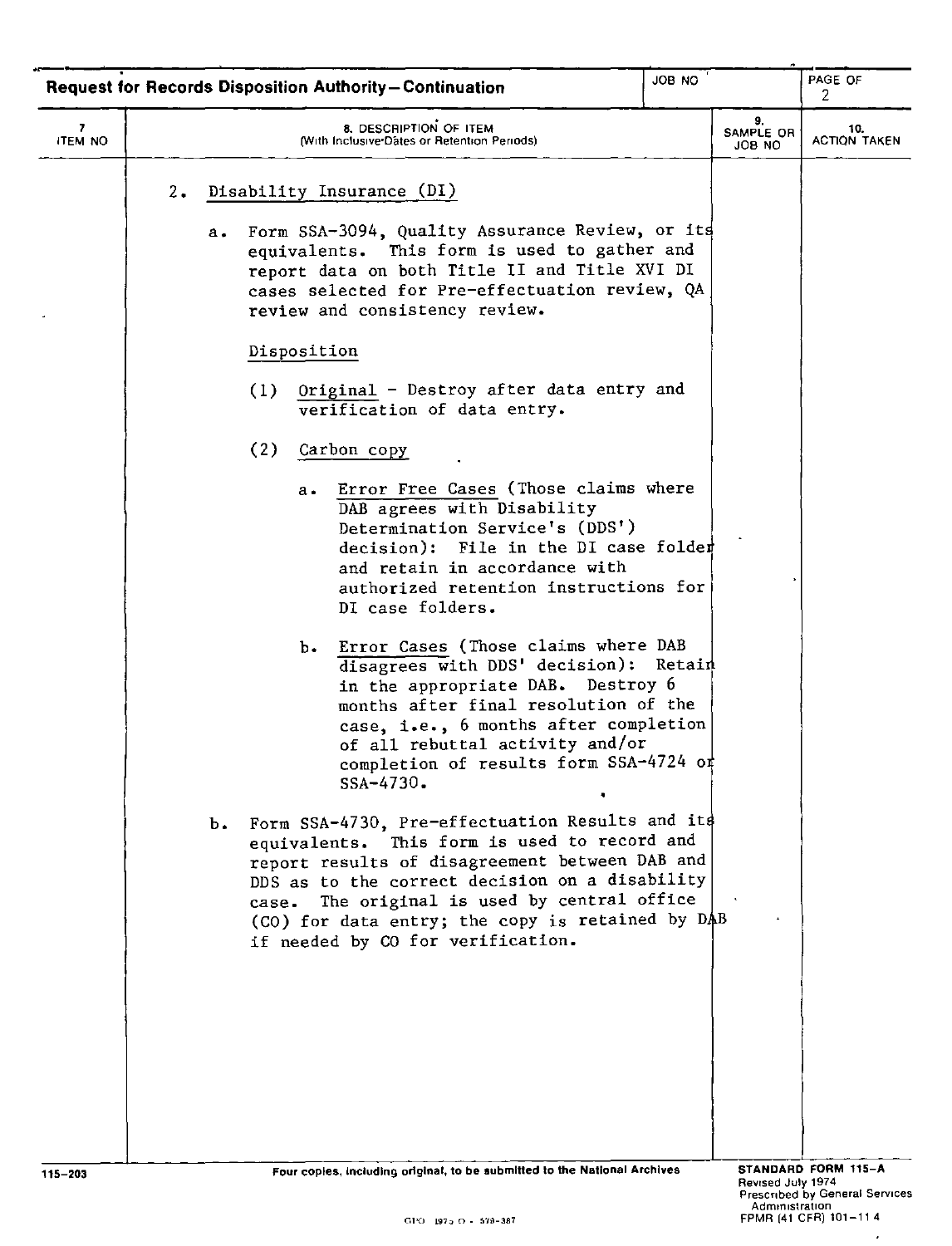|                     | JOB NO<br><b>Request for Records Disposition Authority-Continuation</b>                                                                                                                                                                                                                                                                                                                                                                                                                                                                                                                                                                                                                                                                                                                                                                                                                                         |  |                           | PAGE OF<br>2               |
|---------------------|-----------------------------------------------------------------------------------------------------------------------------------------------------------------------------------------------------------------------------------------------------------------------------------------------------------------------------------------------------------------------------------------------------------------------------------------------------------------------------------------------------------------------------------------------------------------------------------------------------------------------------------------------------------------------------------------------------------------------------------------------------------------------------------------------------------------------------------------------------------------------------------------------------------------|--|---------------------------|----------------------------|
| 7<br><b>ITEM NO</b> | 8. DESCRIPTION OF ITEM<br>(With Inclusive Dates or Retention Periods)                                                                                                                                                                                                                                                                                                                                                                                                                                                                                                                                                                                                                                                                                                                                                                                                                                           |  | 9.<br>SAMPLE OR<br>JOB NO | 10.<br><b>ACTION TAKEN</b> |
|                     | 2.<br>Disability Insurance (DI)<br>Form SSA-3094, Quality Assurance Review, or its<br>$a_{\bullet}$<br>equivalents. This form is used to gather and<br>report data on both Title II and Title XVI DI<br>cases selected for Pre-effectuation review, QA<br>review and consistency review.<br>Disposition<br>(1) Original - Destroy after data entry and<br>verification of data entry.<br>(2)<br>Carbon copy<br>Error Free Cases (Those claims where<br>а.<br>DAB agrees with Disability<br>Determination Service's (DDS')<br>decision): File in the DI case folder<br>and retain in accordance with<br>authorized retention instructions for<br>DI case folders.<br>Error Cases (Those claims where DAB<br>ъ.<br>disagrees with DDS' decision): Retain<br>in the appropriate DAB. Destroy 6<br>months after final resolution of the<br>case, i.e., 6 months after completion<br>of all rebuttal activity and/or |  |                           |                            |
| 115-203             | completion of results form SSA-4724 or<br>$SSA-4730$<br>Form SSA-4730, Pre-effectuation Results and its<br>ъ.<br>equivalents. This form is used to record and<br>report results of disagreement between DAB and<br>DDS as to the correct decision on a disability<br>The original is used by central office<br>case.<br>(CO) for data entry; the copy is retained by DAB<br>if needed by CO for verification.<br>Four copies, including original, to be submitted to the National Archives                                                                                                                                                                                                                                                                                                                                                                                                                      |  | <b>Dougod July 1974</b>   | STANDARD FORM 115-A        |

 $\bar{\beta}$